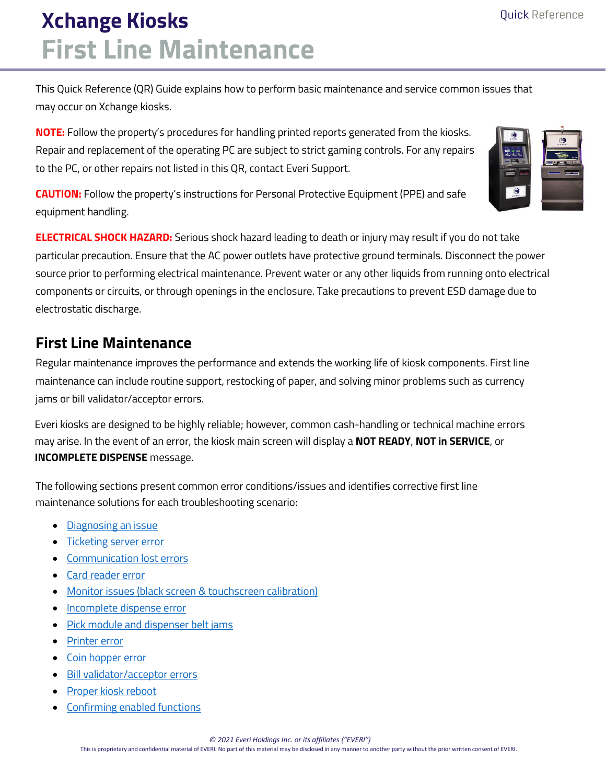# **Xchange Kiosks First Line Maintenance**

This Quick Reference (QR) Guide explains how to perform basic maintenance and service common issues that may occur on Xchange kiosks.

**NOTE:** Follow the property's procedures for handling printed reports generated from the kiosks. Repair and replacement of the operating PC are subject to strict gaming controls. For any repairs to the PC, or other repairs not listed in this QR, contact Everi Support.



**CAUTION:** Follow the property's instructions for Personal Protective Equipment (PPE) and safe equipment handling.

**ELECTRICAL SHOCK HAZARD:** Serious shock hazard leading to death or injury may result if you do not take particular precaution. Ensure that the AC power outlets have protective ground terminals. Disconnect the power source prior to performing electrical maintenance. Prevent water or any other liquids from running onto electrical components or circuits, or through openings in the enclosure. Take precautions to prevent ESD damage due to electrostatic discharge.

# **First Line Maintenance**

Regular maintenance improves the performance and extends the working life of kiosk components. First line maintenance can include routine support, restocking of paper, and solving minor problems such as currency jams or bill validator/acceptor errors.

Everi kiosks are designed to be highly reliable; however, common cash-handling or technical machine errors may arise. In the event of an error, the kiosk main screen will display a **NOT READY**, **NOT in SERVICE**, or **INCOMPLETE DISPENSE** message.

The following sections present common error conditions/issues and identifies corrective first line maintenance solutions for each troubleshooting scenario:

- [Diagnosing an issue](#page-1-0)
- [Ticketing server error](#page-2-0)
- [Communication lost errors](#page-2-1)
- [Card reader error](#page-3-0)
- [Monitor issues \(black screen & touchscreen calibration\)](#page-3-1)
- Incomplete dispense error
- [Pick module and dispenser belt jams](#page-5-0)
- [Printer error](#page-6-0)
- [Coin hopper error](#page-6-1)
- [Bill validator/acceptor errors](#page-7-0)
- [Proper kiosk reboot](#page-8-0)
- Confirming [enabled functions](#page-9-0)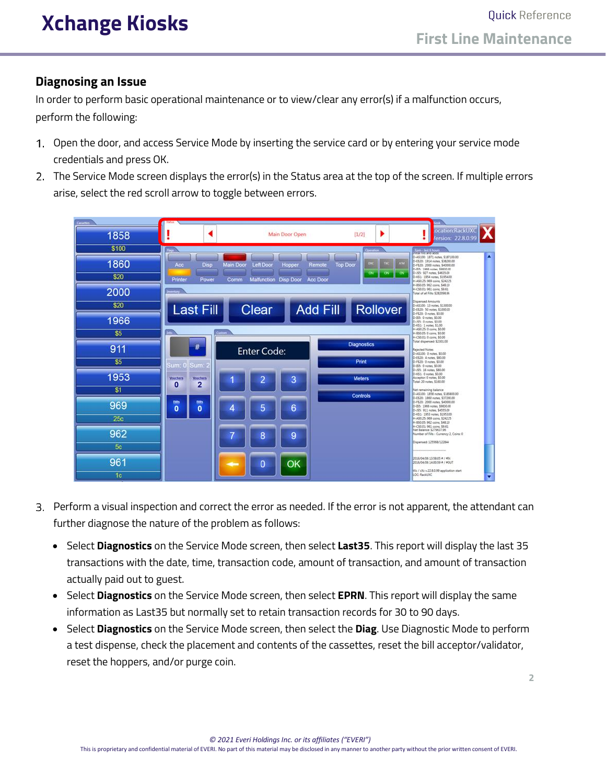### <span id="page-1-0"></span>**Diagnosing an Issue**

In order to perform basic operational maintenance or to view/clear any error(s) if a malfunction occurs, perform the following:

- Open the door, and access Service Mode by inserting the service card or by entering your service mode credentials and press OK.
- 2. The Service Mode screen displays the error(s) in the Status area at the top of the screen. If multiple errors arise, select the red scroll arrow to toggle between errors.

| 1858           | Main Door Open                                                                 | ocation:RackUXC<br>٠<br>[1/2]<br>ersion: 22.8.0.99                                                                                                                                                                |  |
|----------------|--------------------------------------------------------------------------------|-------------------------------------------------------------------------------------------------------------------------------------------------------------------------------------------------------------------|--|
| \$100          | <b>Flags</b>                                                                   | Enm - last 6 hours                                                                                                                                                                                                |  |
| 1860           | <b>Disp</b><br>Main Door<br>Acc<br><b>Left Door</b><br>Remote<br>Hopper        | D-A\$100: 1871 notes \$187100.00<br>D-E520: 1914 notes, \$38280.00<br><b>Top Door</b><br>D-F\$20: 2000 notes. \$40000.00<br>D-ISS: 1966 notes, \$9830.00<br>D-755: 927 notes, \$4635.00<br><b>ON</b><br><b>ON</b> |  |
| \$20           | Printer<br>Malfunction Disp Door<br>Acc Door<br>Power<br>Comm                  | D-K\$1: 1954 notes, \$1954.00<br>1-A\$0.25: 969 coins, \$242.25                                                                                                                                                   |  |
| 2000           |                                                                                | -B\$0.05: 962 coirs, \$48.10<br>H-C\$0.01: 981 coins, \$9.61<br>Total of all Fills: \$282098.96                                                                                                                   |  |
| \$20           | <b>Add Fill</b><br><b>Last Fill</b><br>Clear                                   | Dispensed Amounts<br>D-A5100: 13 notes, \$1300.00<br><b>Rollover</b><br>D-E\$20: 50 notes, \$1000.00<br>D-F\$20: 0 notes, \$0.00                                                                                  |  |
| 1966           | D-ISS: 0 notes, \$0.00<br>D-JSS: 0 notes, \$0.00<br>D-K\$1: 1 notes, \$1.00    |                                                                                                                                                                                                                   |  |
| \$5            | <b>Page</b>                                                                    | A\$0.25 0 coins, \$0.00<br>4-850.05 0 coins, \$0.00<br>H-C\$0.01: 0 coins, \$0.00                                                                                                                                 |  |
| 911            | #<br><b>Enter Code:</b>                                                        | Total dispensed: \$2301.00<br><b>Diagnostics</b><br><b>Rejected Notes</b><br>D-A\$100: 0 notes. \$0.00                                                                                                            |  |
| \$5            | Sum: 0<br>Sum:                                                                 | D-E520: 4 notes, \$80.00<br>Print<br>D-F\$20: 0 notes: \$0.00<br>D-ISS: 0 notes, \$0.00                                                                                                                           |  |
| 1953           | 3<br>2<br><b>Vouchers</b><br><b>Wischers</b><br>$\overline{2}$<br>$\mathbf{0}$ | D-J15: 15 notes, \$80.00<br>D-K\$1: 0 notes. \$0.00<br>Acceptor 0 nates, \$0.00<br><b>Meters</b><br>Total: 20 notes, \$160.00                                                                                     |  |
| \$1            |                                                                                | Net remaining balance<br>D-A\$100: 1858 notes, \$185800.00<br>Controls<br>D-E520: 1860 notes, \$37200.00                                                                                                          |  |
| 969            | $\frac{1}{\sqrt{2}}$<br><b>Bills</b><br>6<br>5<br>$\mathbf 0$<br>4             | D-F\$20: 2000 notes, \$40000.00<br>D-155: 1966 notes, \$9830.00<br>D-JS5: 911 notes, \$4555.00                                                                                                                    |  |
| 25c            |                                                                                | D-K\$1: 1953 notes; \$1953.00<br>H-A50.25: 969 coins, \$242.25<br>1-850.05. 962 coins. \$48.10                                                                                                                    |  |
| 962            | 7<br>8<br>9                                                                    | H-C\$D.O1: 961 coins. \$9.61.<br>Net Salance: \$279637.96<br>Number of Fills - Currency: 2, Coins: 0                                                                                                              |  |
| 5 <sub>c</sub> |                                                                                | Dispensed: 125568/122844                                                                                                                                                                                          |  |
| 961            |                                                                                | 2016/04/06 13:58:05 # / #DV<br>2016/04/06 14:00:59 # / #OUT                                                                                                                                                       |  |
| 1 <sub>c</sub> | OK<br>$\mathbf{0}$                                                             | Olc / Olc v 22.8.0.99 application start<br>LOC: RackLOIC<br>٠                                                                                                                                                     |  |

- Perform a visual inspection and correct the error as needed. If the error is not apparent, the attendant can further diagnose the nature of the problem as follows:
	- Select **Diagnostics** on the Service Mode screen, then select **Last35**. This report will display the last 35 transactions with the date, time, transaction code, amount of transaction, and amount of transaction actually paid out to guest.
	- Select **Diagnostics** on the Service Mode screen, then select **EPRN**. This report will display the same information as Last35 but normally set to retain transaction records for 30 to 90 days.
	- Select **Diagnostics** on the Service Mode screen, then select the **Diag**. Use Diagnostic Mode to perform a test dispense, check the placement and contents of the cassettes, reset the bill acceptor/validator, reset the hoppers, and/or purge coin.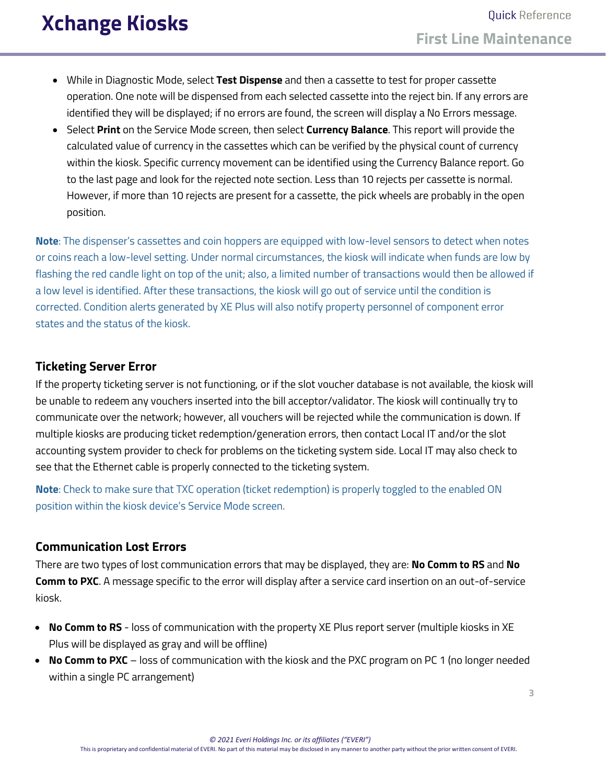- While in Diagnostic Mode, select **Test Dispense** and then a cassette to test for proper cassette operation. One note will be dispensed from each selected cassette into the reject bin. If any errors are identified they will be displayed; if no errors are found, the screen will display a No Errors message.
- Select **Print** on the Service Mode screen, then select **Currency Balance**. This report will provide the calculated value of currency in the cassettes which can be verified by the physical count of currency within the kiosk. Specific currency movement can be identified using the Currency Balance report. Go to the last page and look for the rejected note section. Less than 10 rejects per cassette is normal. However, if more than 10 rejects are present for a cassette, the pick wheels are probably in the open position.

**Note**: The dispenser's cassettes and coin hoppers are equipped with low-level sensors to detect when notes or coins reach a low-level setting. Under normal circumstances, the kiosk will indicate when funds are low by flashing the red candle light on top of the unit; also, a limited number of transactions would then be allowed if a low level is identified. After these transactions, the kiosk will go out of service until the condition is corrected. Condition alerts generated by XE Plus will also notify property personnel of component error states and the status of the kiosk.

### <span id="page-2-0"></span>**Ticketing Server Error**

If the property ticketing server is not functioning, or if the slot voucher database is not available, the kiosk will be unable to redeem any vouchers inserted into the bill acceptor/validator. The kiosk will continually try to communicate over the network; however, all vouchers will be rejected while the communication is down. If multiple kiosks are producing ticket redemption/generation errors, then contact Local IT and/or the slot accounting system provider to check for problems on the ticketing system side. Local IT may also check to see that the Ethernet cable is properly connected to the ticketing system.

**Note**: Check to make sure that TXC operation (ticket redemption) is properly toggled to the enabled ON position within the kiosk device's Service Mode screen.

### <span id="page-2-1"></span>**Communication Lost Errors**

There are two types of lost communication errors that may be displayed, they are: **No Comm to RS** and **No Comm to PXC**. A message specific to the error will display after a service card insertion on an out-of-service kiosk.

- **No Comm to RS** loss of communication with the property XE Plus report server (multiple kiosks in XE Plus will be displayed as gray and will be offline)
- **No Comm to PXC** loss of communication with the kiosk and the PXC program on PC 1 (no longer needed within a single PC arrangement)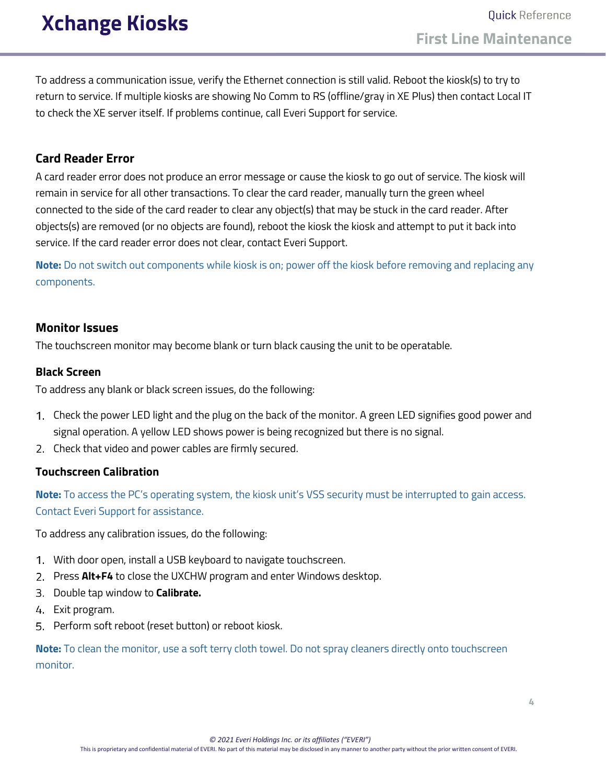<span id="page-3-0"></span>To address a communication issue, verify the Ethernet connection is still valid. Reboot the kiosk(s) to try to return to service. If multiple kiosks are showing No Comm to RS (offline/gray in XE Plus) then contact Local IT to check the XE server itself. If problems continue, call Everi Support for service.

### **Card Reader Error**

A card reader error does not produce an error message or cause the kiosk to go out of service. The kiosk will remain in service for all other transactions. To clear the card reader, manually turn the green wheel connected to the side of the card reader to clear any object(s) that may be stuck in the card reader. After objects(s) are removed (or no objects are found), reboot the kiosk the kiosk and attempt to put it back into service. If the card reader error does not clear, contact Everi Support.

**Note:** Do not switch out components while kiosk is on; power off the kiosk before removing and replacing any components.

### <span id="page-3-1"></span>**Monitor Issues**

The touchscreen monitor may become blank or turn black causing the unit to be operatable.

#### **Black Screen**

To address any blank or black screen issues, do the following:

- Check the power LED light and the plug on the back of the monitor. A green LED signifies good power and signal operation. A yellow LED shows power is being recognized but there is no signal.
- 2. Check that video and power cables are firmly secured.

#### **Touchscreen Calibration**

**Note:** To access the PC's operating system, the kiosk unit's VSS security must be interrupted to gain access. Contact Everi Support for assistance.

To address any calibration issues, do the following:

- With door open, install a USB keyboard to navigate touchscreen.
- 2. Press **Alt+F4** to close the UXCHW program and enter Windows desktop.
- Double tap window to **Calibrate.**
- 4 Exit program.
- 5. Perform soft reboot (reset button) or reboot kiosk.

**Note:** To clean the monitor, use a soft terry cloth towel. Do not spray cleaners directly onto touchscreen monitor.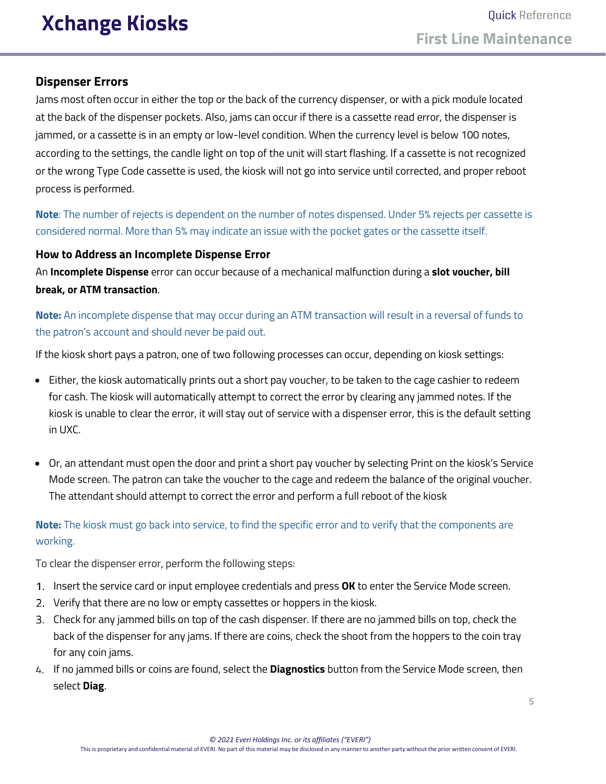### **Dispenser Errors**

Jams most often occur in either the top or the back of the currency dispenser, or with a pick module located at the back of the dispenser pockets. Also, jams can occur if there is a cassette read error, the dispenser is jammed, or a cassette is in an empty or low-level condition. When the currency level is below 100 notes, according to the settings, the candle light on top of the unit will start flashing. If a cassette is not recognized or the wrong Type Code cassette is used, the kiosk will not go into service until corrected, and proper reboot process is performed.

**Note**: The number of rejects is dependent on the number of notes dispensed. Under 5% rejects per cassette is considered normal. More than 5% may indicate an issue with the pocket gates or the cassette itself.

### **How to Address an Incomplete Dispense Error**

An **Incomplete Dispense** error can occur because of a mechanical malfunction during a **slot voucher, bill break, or ATM transaction**.

**Note:** An incomplete dispense that may occur during an ATM transaction will result in a reversal of funds to the patron's account and should never be paid out.

If the kiosk short pays a patron, one of two following processes can occur, depending on kiosk settings:

- Either, the kiosk automatically prints out a short pay voucher, to be taken to the cage cashier to redeem for cash. The kiosk will automatically attempt to correct the error by clearing any jammed notes. If the kiosk is unable to clear the error, it will stay out of service with a dispenser error, this is the default setting in UXC.
- Or, an attendant must open the door and print a short pay voucher by selecting Print on the kiosk's Service Mode screen. The patron can take the voucher to the cage and redeem the balance of the original voucher. The attendant should attempt to correct the error and perform a full reboot of the kiosk

**Note:** The kiosk must go back into service, to find the specific error and to verify that the components are working.

To clear the dispenser error, perform the following steps:

- Insert the service card or input employee credentials and press **OK** to enter the Service Mode screen.
- 2. Verify that there are no low or empty cassettes or hoppers in the kiosk.
- Check for any jammed bills on top of the cash dispenser. If there are no jammed bills on top, check the back of the dispenser for any jams. If there are coins, check the shoot from the hoppers to the coin tray for any coin jams.
- If no jammed bills or coins are found, select the **Diagnostics** button from the Service Mode screen, then select **Diag**.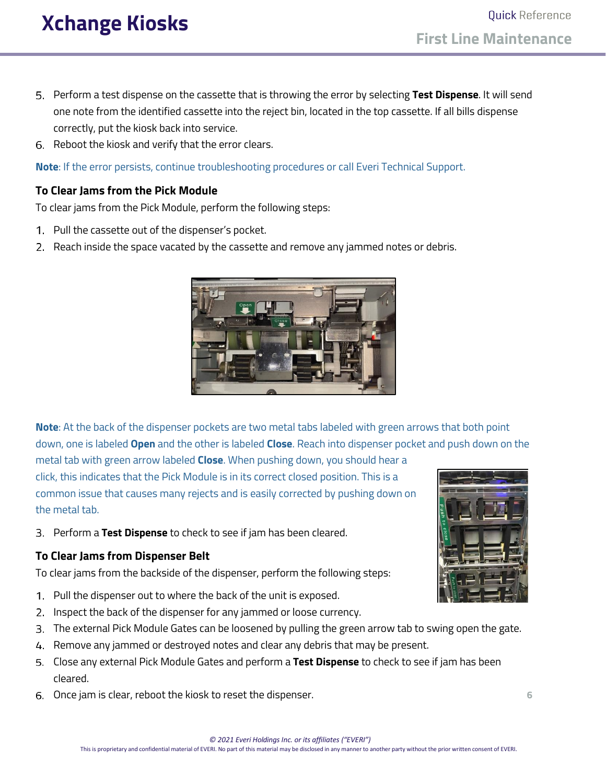- Perform a test dispense on the cassette that is throwing the error by selecting **Test Dispense**. It will send one note from the identified cassette into the reject bin, located in the top cassette. If all bills dispense correctly, put the kiosk back into service.
- 6. Reboot the kiosk and verify that the error clears.

**Note**: If the error persists, continue troubleshooting procedures or call Everi Technical Support.

### <span id="page-5-0"></span>**To Clear Jams from the Pick Module**

To clear jams from the Pick Module, perform the following steps:

- 1. Pull the cassette out of the dispenser's pocket.
- 2. Reach inside the space vacated by the cassette and remove any jammed notes or debris.



**Note**: At the back of the dispenser pockets are two metal tabs labeled with green arrows that both point down, one is labeled **Open** and the other is labeled **Close**. Reach into dispenser pocket and push down on the

metal tab with green arrow labeled **Close**. When pushing down, you should hear a click, this indicates that the Pick Module is in its correct closed position. This is a common issue that causes many rejects and is easily corrected by pushing down on the metal tab.

Perform a **Test Dispense** to check to see if jam has been cleared.

### **To Clear Jams from Dispenser Belt**

To clear jams from the backside of the dispenser, perform the following steps:

- 1. Pull the dispenser out to where the back of the unit is exposed.
- 2. Inspect the back of the dispenser for any jammed or loose currency.
- The external Pick Module Gates can be loosened by pulling the green arrow tab to swing open the gate.
- 4. Remove any jammed or destroyed notes and clear any debris that may be present.
- Close any external Pick Module Gates and perform a **Test Dispense** to check to see if jam has been cleared.
- Once jam is clear, reboot the kiosk to reset the dispenser. **6**

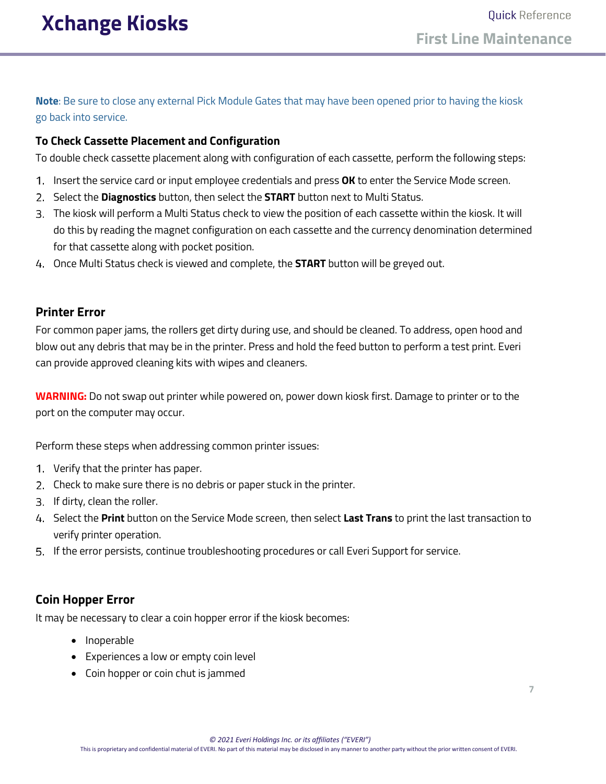**Note**: Be sure to close any external Pick Module Gates that may have been opened prior to having the kiosk go back into service.

### **To Check Cassette Placement and Configuration**

To double check cassette placement along with configuration of each cassette, perform the following steps:

- 1. Insert the service card or input employee credentials and press **OK** to enter the Service Mode screen.
- Select the **Diagnostics** button, then select the **START** button next to Multi Status.
- The kiosk will perform a Multi Status check to view the position of each cassette within the kiosk. It will do this by reading the magnet configuration on each cassette and the currency denomination determined for that cassette along with pocket position.
- Once Multi Status check is viewed and complete, the **START** button will be greyed out.

### <span id="page-6-0"></span>**Printer Error**

For common paper jams, the rollers get dirty during use, and should be cleaned. To address, open hood and blow out any debris that may be in the printer. Press and hold the feed button to perform a test print. Everi can provide approved cleaning kits with wipes and cleaners.

**WARNING:** Do not swap out printer while powered on, power down kiosk first. Damage to printer or to the port on the computer may occur.

Perform these steps when addressing common printer issues:

- Verify that the printer has paper.
- 2. Check to make sure there is no debris or paper stuck in the printer.
- 3. If dirty, clean the roller.
- Select the **Print** button on the Service Mode screen, then select **Last Trans** to print the last transaction to verify printer operation.
- If the error persists, continue troubleshooting procedures or call Everi Support for service.

## <span id="page-6-1"></span>**Coin Hopper Error**

It may be necessary to clear a coin hopper error if the kiosk becomes:

- Inoperable
- Experiences a low or empty coin level
- Coin hopper or coin chut is jammed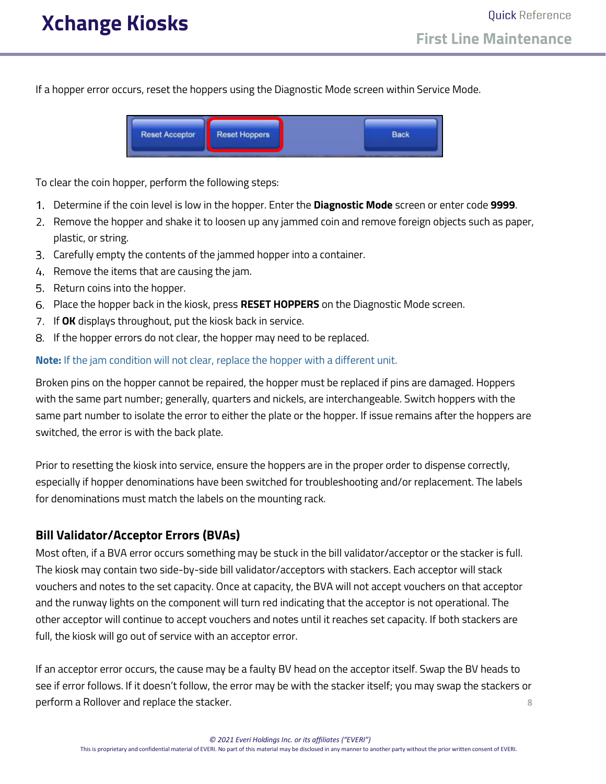If a hopper error occurs, reset the hoppers using the Diagnostic Mode screen within Service Mode.



To clear the coin hopper, perform the following steps:

- Determine if the coin level is low in the hopper. Enter the **Diagnostic Mode** screen or enter code **9999**.
- 2. Remove the hopper and shake it to loosen up any jammed coin and remove foreign objects such as paper, plastic, or string.
- Carefully empty the contents of the jammed hopper into a container.
- 4. Remove the items that are causing the jam.
- 5. Return coins into the hopper.
- Place the hopper back in the kiosk, press **RESET HOPPERS** on the Diagnostic Mode screen.
- If **OK** displays throughout, put the kiosk back in service.
- 8. If the hopper errors do not clear, the hopper may need to be replaced.

#### **Note:** If the jam condition will not clear, replace the hopper with a different unit.

Broken pins on the hopper cannot be repaired, the hopper must be replaced if pins are damaged. Hoppers with the same part number; generally, quarters and nickels, are interchangeable. Switch hoppers with the same part number to isolate the error to either the plate or the hopper. If issue remains after the hoppers are switched, the error is with the back plate.

Prior to resetting the kiosk into service, ensure the hoppers are in the proper order to dispense correctly, especially if hopper denominations have been switched for troubleshooting and/or replacement. The labels for denominations must match the labels on the mounting rack.

### <span id="page-7-0"></span>**Bill Validator/Acceptor Errors (BVAs)**

Most often, if a BVA error occurs something may be stuck in the bill validator/acceptor or the stacker is full. The kiosk may contain two side-by-side bill validator/acceptors with stackers. Each acceptor will stack vouchers and notes to the set capacity. Once at capacity, the BVA will not accept vouchers on that acceptor and the runway lights on the component will turn red indicating that the acceptor is not operational. The other acceptor will continue to accept vouchers and notes until it reaches set capacity. If both stackers are full, the kiosk will go out of service with an acceptor error.

If an acceptor error occurs, the cause may be a faulty BV head on the acceptor itself. Swap the BV heads to see if error follows. If it doesn't follow, the error may be with the stacker itself; you may swap the stackers or perform a Rollover and replace the stacker. **8**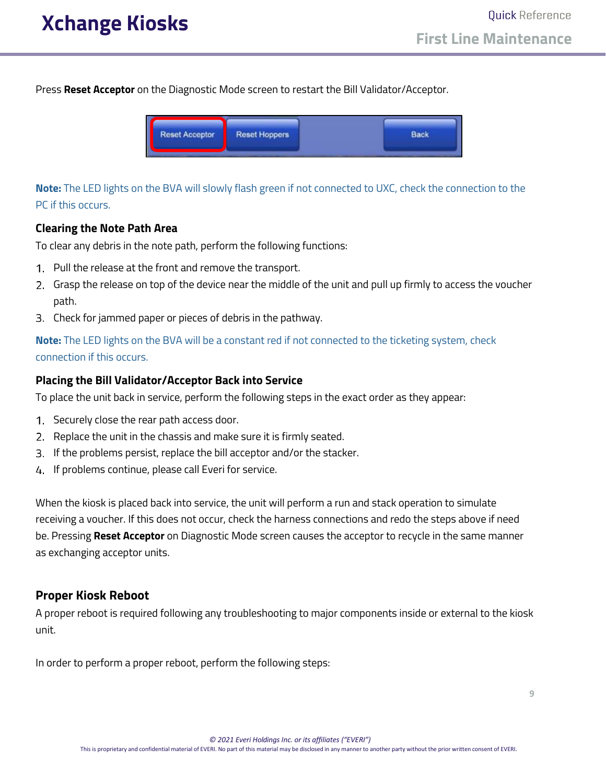Press **Reset Acceptor** on the Diagnostic Mode screen to restart the Bill Validator/Acceptor.



**Note:** The LED lights on the BVA will slowly flash green if not connected to UXC, check the connection to the PC if this occurs.

#### **Clearing the Note Path Area**

To clear any debris in the note path, perform the following functions:

- 1. Pull the release at the front and remove the transport.
- Grasp the release on top of the device near the middle of the unit and pull up firmly to access the voucher path.
- Check for jammed paper or pieces of debris in the pathway.

**Note:** The LED lights on the BVA will be a constant red if not connected to the ticketing system, check connection if this occurs.

#### **Placing the Bill Validator/Acceptor Back into Service**

To place the unit back in service, perform the following steps in the exact order as they appear:

- 1. Securely close the rear path access door.
- 2. Replace the unit in the chassis and make sure it is firmly seated.
- If the problems persist, replace the bill acceptor and/or the stacker.
- 4. If problems continue, please call Everi for service.

When the kiosk is placed back into service, the unit will perform a run and stack operation to simulate receiving a voucher. If this does not occur, check the harness connections and redo the steps above if need be. Pressing **Reset Acceptor** on Diagnostic Mode screen causes the acceptor to recycle in the same manner as exchanging acceptor units.

### <span id="page-8-0"></span>**Proper Kiosk Reboot**

A proper reboot is required following any troubleshooting to major components inside or external to the kiosk unit.

In order to perform a proper reboot, perform the following steps: